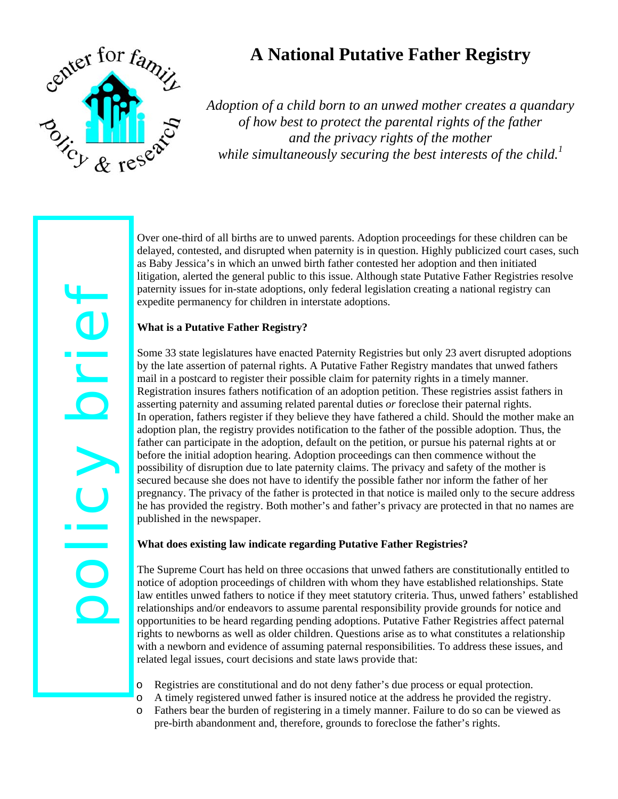

policy brief

 $\overline{\overline{\overline{C}}}$ 

COLOR

# **A National Putative Father Registry**

*Adoption of a child born to an unwed mother creates a quandary of how best to protect the parental rights of the father and the privacy rights of the mother while simultaneously securing the best interests of the child.<sup>1</sup>*

Over one-third of all births are to unwed parents. Adoption proceedings for these children can be delayed, contested, and disrupted when paternity is in question. Highly publicized court cases, such as Baby Jessica's in which an unwed birth father contested her adoption and then initiated litigation, alerted the general public to this issue. Although state Putative Father Registries resolve paternity issues for in-state adoptions, only federal legislation creating a national registry can expedite permanency for children in interstate adoptions.

### **What is a Putative Father Registry?**

Some 33 state legislatures have enacted Paternity Registries but only 23 avert disrupted adoptions by the late assertion of paternal rights. A Putative Father Registry mandates that unwed fathers mail in a postcard to register their possible claim for paternity rights in a timely manner. Registration insures fathers notification of an adoption petition. These registries assist fathers in asserting paternity and assuming related parental duties *or* foreclose their paternal rights. In operation, fathers register if they believe they have fathered a child. Should the mother make an adoption plan, the registry provides notification to the father of the possible adoption. Thus, the father can participate in the adoption, default on the petition, or pursue his paternal rights at or before the initial adoption hearing. Adoption proceedings can then commence without the possibility of disruption due to late paternity claims. The privacy and safety of the mother is secured because she does not have to identify the possible father nor inform the father of her pregnancy. The privacy of the father is protected in that notice is mailed only to the secure address he has provided the registry. Both mother's and father's privacy are protected in that no names are published in the newspaper.

## **What does existing law indicate regarding Putative Father Registries?**

The Supreme Court has held on three occasions that unwed fathers are constitutionally entitled to notice of adoption proceedings of children with whom they have established relationships. State law entitles unwed fathers to notice if they meet statutory criteria. Thus, unwed fathers' established relationships and/or endeavors to assume parental responsibility provide grounds for notice and opportunities to be heard regarding pending adoptions. Putative Father Registries affect paternal rights to newborns as well as older children. Questions arise as to what constitutes a relationship with a newborn and evidence of assuming paternal responsibilities. To address these issues, and related legal issues, court decisions and state laws provide that:

- o Registries are constitutional and do not deny father's due process or equal protection.
- o A timely registered unwed father is insured notice at the address he provided the registry.
- o Fathers bear the burden of registering in a timely manner. Failure to do so can be viewed as pre-birth abandonment and, therefore, grounds to foreclose the father's rights.